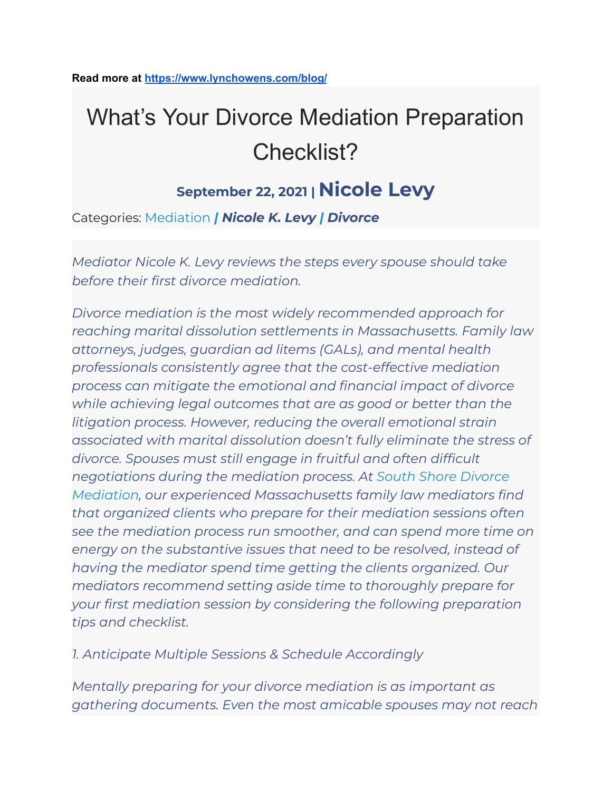**Read more at <https://www.lynchowens.com/blog/>**

# What's Your Divorce Mediation Preparation Checklist?

## **September 22, <sup>2021</sup> <sup>|</sup> Nicole Levy**

Categories: [Mediation](https://madivorcemediators.com/blog/) *| [Nicole](https://www.lynchowens.com/blog/categories/nicole-k-levy/) K. Levy | [Divorce](https://www.lynchowens.com/blog/categories/divorce/)*

*Mediator Nicole K. Levy reviews the steps every spouse should take before their first divorce mediation.*

*Divorce mediation is the most widely recommended approach for reaching marital dissolution settlements in Massachusetts. Family law attorneys, judges, guardian ad litems (GALs), and mental health professionals consistently agree that the cost-effective mediation process can mitigate the emotional and financial impact of divorce while achieving legal outcomes that are as good or better than the litigation process. However, reducing the overall emotional strain associated with marital dissolution doesn't fully eliminate the stress of divorce. Spouses must still engage in fruitful and often difficult negotiations during the mediation process. At South Shore [Divorce](https://madivorcemediators.com/) [Mediation](https://madivorcemediators.com/), our experienced Massachusetts family law mediators find that organized clients who prepare for their mediation sessions often see the mediation process run smoother, and can spend more time on energy on the substantive issues that need to be resolved, instead of having the mediator spend time getting the clients organized. Our mediators recommend setting aside time to thoroughly prepare for your first mediation session by considering the following preparation tips and checklist.*

*1. Anticipate Multiple Sessions & Schedule Accordingly*

*Mentally preparing for your divorce mediation is as important as gathering documents. Even the most amicable spouses may not reach*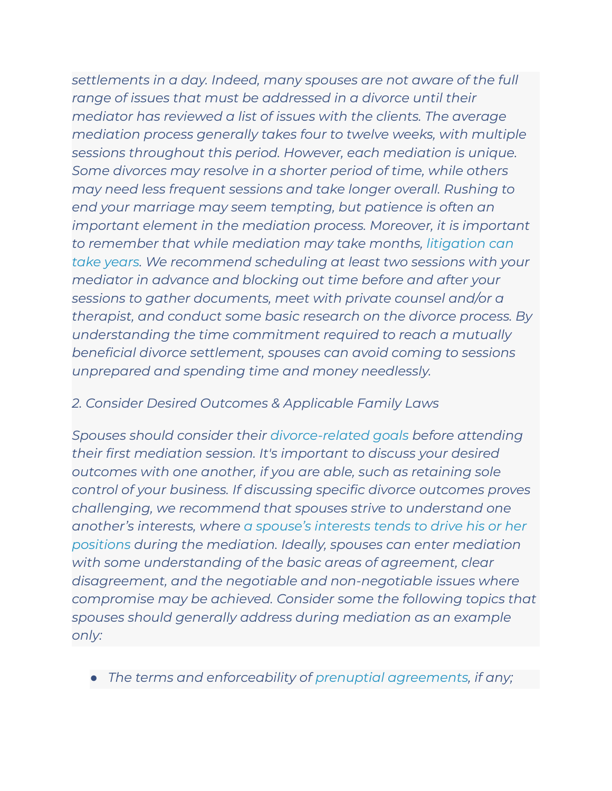*settlements in a day. Indeed, many spouses are not aware of the full range of issues that must be addressed in a divorce until their mediator has reviewed a list of issues with the clients. The average mediation process generally takes four to twelve weeks, with multiple sessions throughout this period. However, each mediation is unique. Some divorces may resolve in a shorter period of time, while others may need less frequent sessions and take longer overall. Rushing to end your marriage may seem tempting, but patience is often an important element in the mediation process. Moreover, it is important to remember that while mediation may take months, [litigation](https://madivorcemediators.com/the-benefits-of-divorce-mediation-over-litigation/) can take [years.](https://madivorcemediators.com/the-benefits-of-divorce-mediation-over-litigation/) We recommend scheduling at least two sessions with your mediator in advance and blocking out time before and after your sessions to gather documents, meet with private counsel and/or a therapist, and conduct some basic research on the divorce process. By understanding the time commitment required to reach a mutually beneficial divorce settlement, spouses can avoid coming to sessions unprepared and spending time and money needlessly.*

#### *2. Consider Desired Outcomes & Applicable Family Laws*

*Spouses should consider their [divorce-related](https://madivorcemediators.com/importance-defining-goals-divorce-mediation/) goals before attending their first mediation session. It's important to discuss your desired outcomes with one another, if you are able, such as retaining sole control of your business. If discussing specific divorce outcomes proves challenging, we recommend that spouses strive to understand one another's interests, where a spouse's [interests](https://madivorcemediators.com/understanding-interests-vs-positions-divorce-mediation/) tends to drive his or her [positions](https://madivorcemediators.com/understanding-interests-vs-positions-divorce-mediation/) during the mediation. Ideally, spouses can enter mediation with some understanding of the basic areas of agreement, clear disagreement, and the negotiable and non-negotiable issues where compromise may be achieved. Consider some the following topics that spouses should generally address during mediation as an example only:*

*● The terms and enforceability of prenuptial [agreements,](https://malegislature.gov/laws/generallaws/partii/titleiii/chapter209/section25) if any;*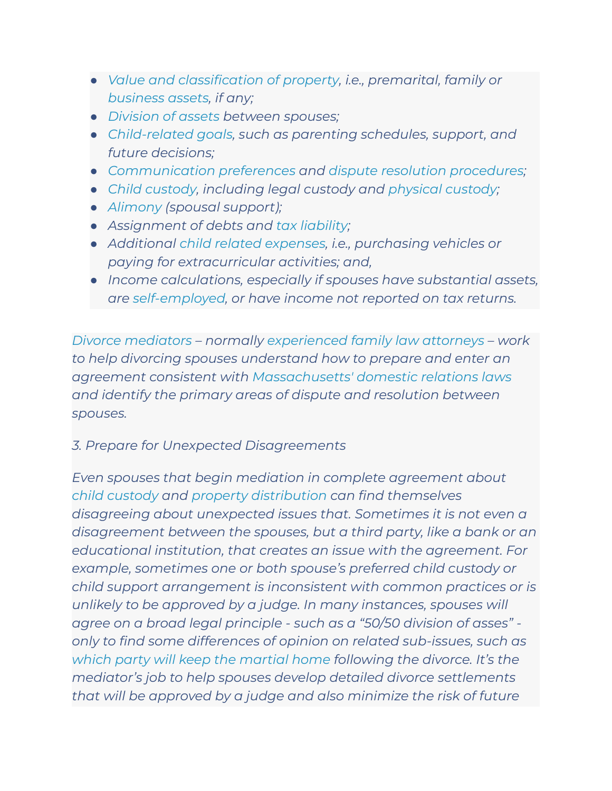- *● Value and [classification](https://madivorcemediators.com/splitting-complex-assets-in-a-high-net-worth-divorce-mediation/) of property, i.e., premarital, family or [business](https://madivorcemediators.com/divorce-mediation-for-small-business-and-family-business-owners/) assets, if any;*
- *● [Division](https://madivorcemediators.com/divorce-mediation-helps-spouses-divide-marital-property-fairly/) of assets between spouses;*
- *● [Child-related](https://madivorcemediators.com/mediating-tips-child-custody-parenting-time/) goals, such as parenting schedules, support, and future decisions;*
- *● [Communication](https://madivorcemediators.com/setting-boundaries-divorce-co-worker-rule/) preferences and dispute resolution [procedures](https://madivorcemediators.com/shuttle-diplomacy-helps-resolve-high-conflict-divorce-mediations/);*
- *● Child [custody,](https://madivorcemediators.com/mediating-child-custody-agreements-parenting-time-protects-families/) including legal custody and [physical](https://madivorcemediators.com/mediating-shared-physical-custody-agreements-massachusetts/) custody;*
- *● [Alimony](https://madivorcemediators.com/divorce-mediation-keeps-alimony-focus-future/) (spousal support);*
- *● Assignment of debts and tax [liability;](https://madivorcemediators.com/tax-implications-of-a-divorce-make-having-a-mediator-who-knows-tax-law-critical/)*
- *● Additional child related [expenses,](https://madivorcemediators.com/joint-bank-accounts-can-assist-co-parenting/) i.e., purchasing vehicles or paying for extracurricular activities; and,*
- *● Income calculations, especially if spouses have substantial assets, are [self-employed,](https://madivorcemediators.com/divorce-mediation-for-small-business-and-family-business-owners/) or have income not reported on tax returns.*

*Divorce [mediators](https://madivorcemediators.com/mediators/) – normally [experienced](https://www.lynchowens.com/attorneys/) family law attorneys – work to help divorcing spouses understand how to prepare and enter an agreement consistent with [Massachusetts'](https://madivorcemediators.com/basic-legal-arguments-help-non-lawyers-divorce-mediation/) domestic relations laws and identify the primary areas of dispute and resolution between spouses.*

## *3. Prepare for Unexpected Disagreements*

*Even spouses that begin mediation in complete agreement about child [custody](https://madivorcemediators.com/mediating-child-custody-agreements-parenting-time-protects-families/) and property [distribution](https://madivorcemediators.com/divorce-mediation-helps-spouses-divide-marital-property-fairly/) can find themselves disagreeing about unexpected issues that. Sometimes it is not even a disagreement between the spouses, but a third party, like a bank or an educational institution, that creates an issue with the agreement. For example, sometimes one or both spouse's preferred child custody or child support arrangement is inconsistent with common practices or is unlikely to be approved by a judge. In many instances, spouses will agree on a broad legal principle - such as a "50/50 division of asses" only to find some differences of opinion on related sub-issues, such as which party will keep the [martial](https://www.lynchowens.com/blog/2019/october/can-i-keep-the-marital-home-in-my-divorce-/) home following the divorce. It's the mediator's job to help spouses develop detailed divorce settlements that will be approved by a judge and also minimize the risk of future*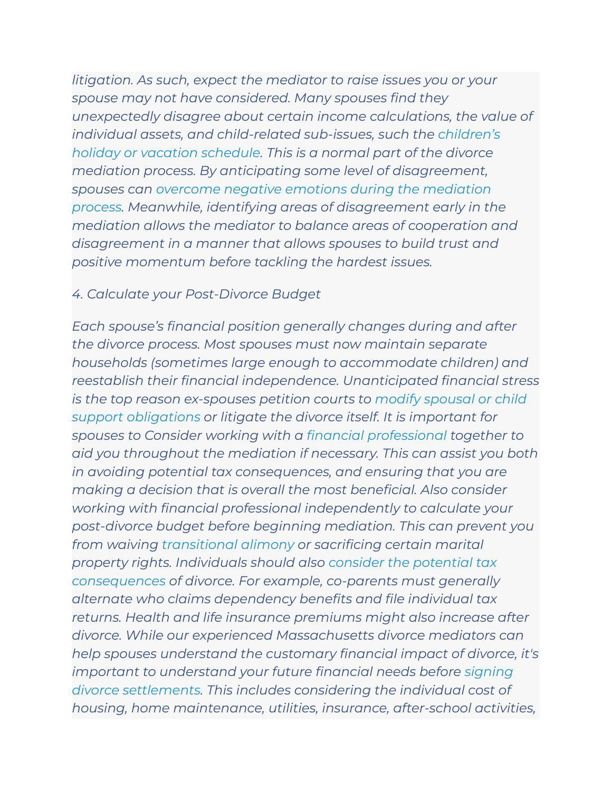*litigation. As such, expect the mediator to raise issues you or your spouse may not have considered. Many spouses find they unexpectedly disagree about certain income calculations, the value of individual assets, and child-related sub-issues, such the [children's](https://madivorcemediators.com/child-custody-the-benefits-of-mediating-holiday-schedules/) holiday or vacation [schedule.](https://madivorcemediators.com/child-custody-the-benefits-of-mediating-holiday-schedules/) This is a normal part of the divorce mediation process. By anticipating some level of disagreement, spouses can overcome negative emotions during the [mediation](https://madivorcemediators.com/overcoming-negative-emotions-mediation-process/) [process.](https://madivorcemediators.com/overcoming-negative-emotions-mediation-process/) Meanwhile, identifying areas of disagreement early in the mediation allows the mediator to balance areas of cooperation and disagreement in a manner that allows spouses to build trust and positive momentum before tackling the hardest issues.*

#### *4. Calculate your Post-Divorce Budget*

*Each spouse's financial position generally changes during and after the divorce process. Most spouses must now maintain separate households (sometimes large enough to accommodate children) and reestablish their financial independence. Unanticipated financial stress is the top reason ex-spouses petition courts to modify [spousal](https://madivorcemediators.com/mediating-modifications-child-support-alimony-coronavirus/) or child support [obligations](https://madivorcemediators.com/mediating-modifications-child-support-alimony-coronavirus/) or litigate the divorce itself. It is important for spouses to Consider working with a financial [professional](https://madivorcemediators.com/how-to-use-financial-experts-in-divorce-mediation/) together to aid you throughout the mediation if necessary. This can assist you both in avoiding potential tax consequences, and ensuring that you are making a decision that is overall the most beneficial. Also consider working with financial professional independently to calculate your post-divorce budget before beginning mediation. This can prevent you from waiving [transitional](https://malegislature.gov/Laws/GeneralLaws/PartII/TitleIII/Chapter208/Section52) alimony or sacrificing certain marital property rights. Individuals should also consider the [potential](https://madivorcemediators.com/tax-implications-of-a-divorce-make-having-a-mediator-who-knows-tax-law-critical/) tax [consequences](https://madivorcemediators.com/tax-implications-of-a-divorce-make-having-a-mediator-who-knows-tax-law-critical/) of divorce. For example, co-parents must generally alternate who claims dependency benefits and file individual tax returns. Health and life insurance premiums might also increase after divorce. While our experienced Massachusetts divorce mediators can help spouses understand the customary financial impact of divorce, it's important to understand your future financial needs before [signing](https://madivorcemediators.com/mediated-divorce-agreements-less-likely-violated/) divorce [settlements.](https://madivorcemediators.com/mediated-divorce-agreements-less-likely-violated/) This includes considering the individual cost of housing, home maintenance, utilities, insurance, after-school activities,*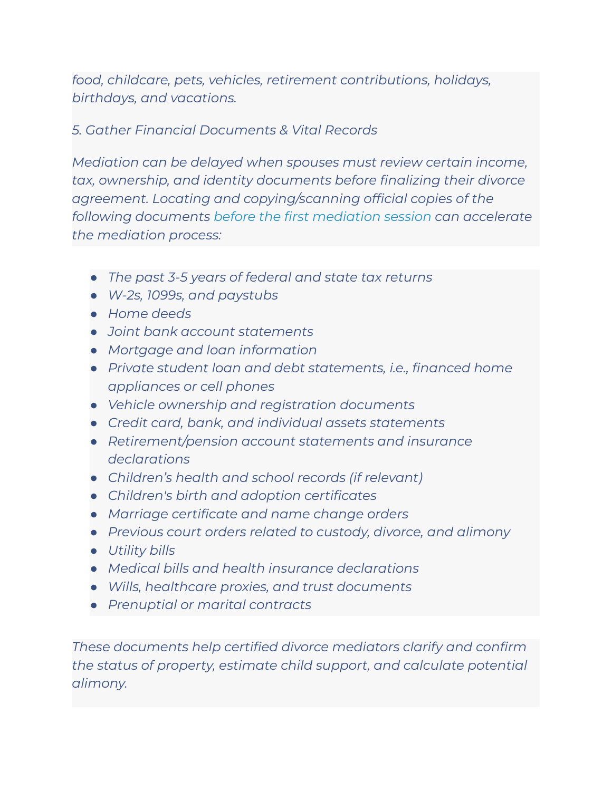*food, childcare, pets, vehicles, retirement contributions, holidays, birthdays, and vacations.*

## *5. Gather Financial Documents & Vital Records*

*Mediation can be delayed when spouses must review certain income, tax, ownership, and identity documents before finalizing their divorce agreement. Locating and copying/scanning official copies of the following documents before the first [mediation](https://madivorcemediators.com/what-3-things-should-i-bring-to-my-first-divorce-mediation-session/) session can accelerate the mediation process:*

- *● The past 3-5 years of federal and state tax returns*
- *● W-2s, 1099s, and paystubs*
- *● Home deeds*
- *● Joint bank account statements*
- *● Mortgage and loan information*
- *● Private student loan and debt statements, i.e., financed home appliances or cell phones*
- *● Vehicle ownership and registration documents*
- *● Credit card, bank, and individual assets statements*
- *● Retirement/pension account statements and insurance declarations*
- *● Children's health and school records (if relevant)*
- *● Children's birth and adoption certificates*
- *● Marriage certificate and name change orders*
- *● Previous court orders related to custody, divorce, and alimony*
- *● Utility bills*
- *● Medical bills and health insurance declarations*
- *● Wills, healthcare proxies, and trust documents*
- *● Prenuptial or marital contracts*

*These documents help certified divorce mediators clarify and confirm the status of property, estimate child support, and calculate potential alimony.*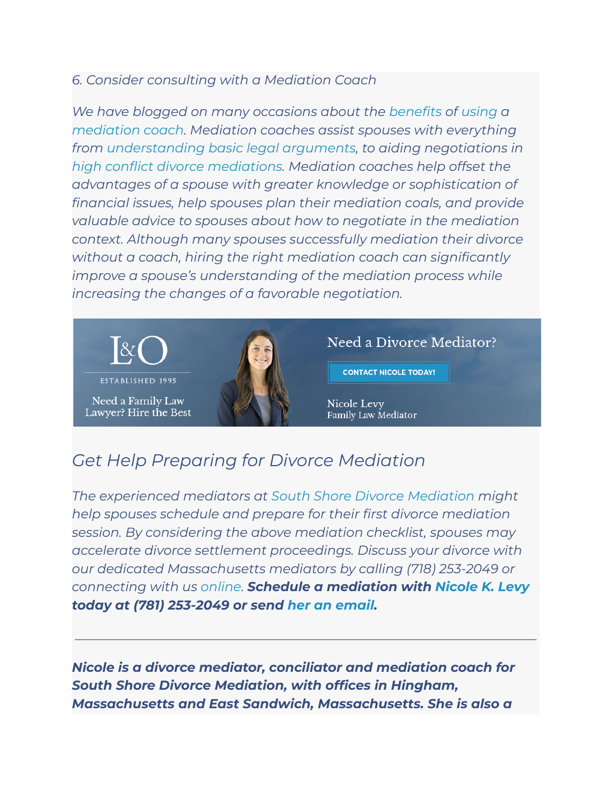#### *6. Consider consulting with a Mediation Coach*

*We have blogged on many occasions about the [benefits](https://madivorcemediators.com/mediation-coaches-help-in-divorce/) of [using](https://madivorcemediators.com/how-hiring-a-mediation-coach-can-help-you-cope-with-the-divorce-mediation-process/) a [mediation](https://madivorcemediators.com/mediation-coaching/) coach. Mediation coaches assist spouses with everything from [understanding](https://madivorcemediators.com/basic-legal-arguments-help-non-lawyers-divorce-mediation/) basic legal arguments, to aiding negotiations in high conflict divorce [mediations.](https://madivorcemediators.com/increased-role-mediation-coaches-shuttle-mediation/) Mediation coaches help offset the advantages of a spouse with greater knowledge or sophistication of financial issues, help spouses plan their mediation coals, and provide valuable advice to spouses about how to negotiate in the mediation context. Although many spouses successfully mediation their divorce without a coach, hiring the right mediation coach can significantly improve a spouse's understanding of the mediation process while increasing the changes of a favorable negotiation.*



# *Get Help Preparing for Divorce Mediation*

*The experienced mediators at South Shore Divorce [Mediation](https://madivorcemediators.com/) might help spouses schedule and prepare for their first divorce mediation session. By considering the above mediation checklist, spouses may accelerate divorce settlement proceedings. Discuss your divorce with our dedicated Massachusetts mediators by calling (718) 253-2049 or connecting with us [online](https://madivorcemediators.com/contact/). Schedule a mediation with [Nicole](https://www.lynchowens.com/attorneys/nicole-k-levy/) K. Levy today at (781) 253-2049 or send her an [email](https://madivorcemediators.com/contact/).*

*Nicole is a divorce mediator, conciliator and mediation coach for South Shore Divorce Mediation, with offices in Hingham, Massachusetts and East Sandwich, Massachusetts. She is also a*